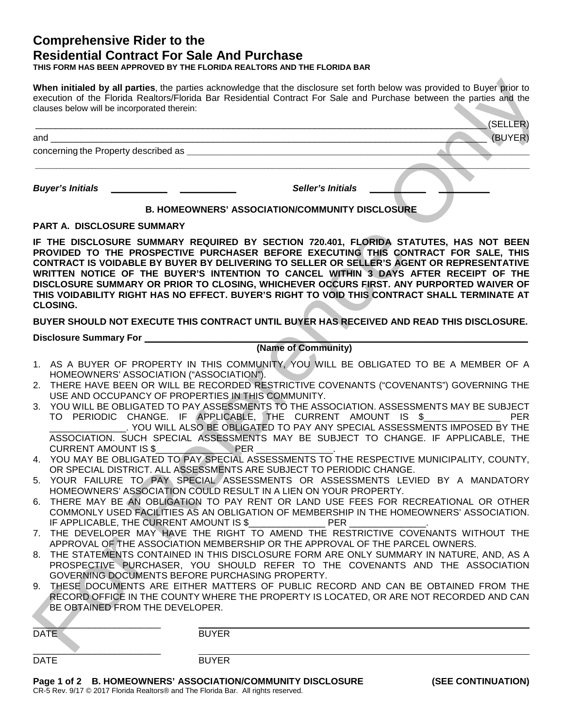## **Comprehensive Rider to the Residential Contract For Sale And Purchase**

**THIS FORM HAS BEEN APPROVED BY THE FLORIDA REALTORS AND THE FLORIDA BAR**

| clauses below will be incorporated therein:                                                                      | When initialed by all parties, the parties acknowledge that the disclosure set forth below was provided to Buyer prior to<br>execution of the Florida Realtors/Florida Bar Residential Contract For Sale and Purchase between the parties and the                                                                                                                                                                                                                                                                                                                                                                                                                                                                                                                                                                                                                                                                                                                                                                                                                                                                                                                                                                                                                                                                                                                                                                                                                                                                                                                                                                                                                                                                                                 |
|------------------------------------------------------------------------------------------------------------------|---------------------------------------------------------------------------------------------------------------------------------------------------------------------------------------------------------------------------------------------------------------------------------------------------------------------------------------------------------------------------------------------------------------------------------------------------------------------------------------------------------------------------------------------------------------------------------------------------------------------------------------------------------------------------------------------------------------------------------------------------------------------------------------------------------------------------------------------------------------------------------------------------------------------------------------------------------------------------------------------------------------------------------------------------------------------------------------------------------------------------------------------------------------------------------------------------------------------------------------------------------------------------------------------------------------------------------------------------------------------------------------------------------------------------------------------------------------------------------------------------------------------------------------------------------------------------------------------------------------------------------------------------------------------------------------------------------------------------------------------------|
|                                                                                                                  | (SELLER)                                                                                                                                                                                                                                                                                                                                                                                                                                                                                                                                                                                                                                                                                                                                                                                                                                                                                                                                                                                                                                                                                                                                                                                                                                                                                                                                                                                                                                                                                                                                                                                                                                                                                                                                          |
|                                                                                                                  | (BUYER)                                                                                                                                                                                                                                                                                                                                                                                                                                                                                                                                                                                                                                                                                                                                                                                                                                                                                                                                                                                                                                                                                                                                                                                                                                                                                                                                                                                                                                                                                                                                                                                                                                                                                                                                           |
|                                                                                                                  |                                                                                                                                                                                                                                                                                                                                                                                                                                                                                                                                                                                                                                                                                                                                                                                                                                                                                                                                                                                                                                                                                                                                                                                                                                                                                                                                                                                                                                                                                                                                                                                                                                                                                                                                                   |
|                                                                                                                  |                                                                                                                                                                                                                                                                                                                                                                                                                                                                                                                                                                                                                                                                                                                                                                                                                                                                                                                                                                                                                                                                                                                                                                                                                                                                                                                                                                                                                                                                                                                                                                                                                                                                                                                                                   |
| <b>Buyer's Initials</b>                                                                                          | <b>Seller's Initials</b>                                                                                                                                                                                                                                                                                                                                                                                                                                                                                                                                                                                                                                                                                                                                                                                                                                                                                                                                                                                                                                                                                                                                                                                                                                                                                                                                                                                                                                                                                                                                                                                                                                                                                                                          |
|                                                                                                                  | <b>B. HOMEOWNERS' ASSOCIATION/COMMUNITY DISCLOSURE</b>                                                                                                                                                                                                                                                                                                                                                                                                                                                                                                                                                                                                                                                                                                                                                                                                                                                                                                                                                                                                                                                                                                                                                                                                                                                                                                                                                                                                                                                                                                                                                                                                                                                                                            |
| <b>PART A. DISCLOSURE SUMMARY</b>                                                                                |                                                                                                                                                                                                                                                                                                                                                                                                                                                                                                                                                                                                                                                                                                                                                                                                                                                                                                                                                                                                                                                                                                                                                                                                                                                                                                                                                                                                                                                                                                                                                                                                                                                                                                                                                   |
| <b>CLOSING.</b>                                                                                                  | IF THE DISCLOSURE SUMMARY REQUIRED BY SECTION 720.401, FLORIDA STATUTES, HAS NOT BEEN<br>PROVIDED TO THE PROSPECTIVE PURCHASER BEFORE EXECUTING THIS CONTRACT FOR SALE, THIS<br>CONTRACT IS VOIDABLE BY BUYER BY DELIVERING TO SELLER OR SELLER'S AGENT OR REPRESENTATIVE<br>WRITTEN NOTICE OF THE BUYER'S INTENTION TO CANCEL WITHIN 3 DAYS AFTER RECEIPT OF THE<br>DISCLOSURE SUMMARY OR PRIOR TO CLOSING, WHICHEVER OCCURS FIRST. ANY PURPORTED WAIVER OF<br>THIS VOIDABILITY RIGHT HAS NO EFFECT. BUYER'S RIGHT TO VOID THIS CONTRACT SHALL TERMINATE AT                                                                                                                                                                                                                                                                                                                                                                                                                                                                                                                                                                                                                                                                                                                                                                                                                                                                                                                                                                                                                                                                                                                                                                                      |
|                                                                                                                  | BUYER SHOULD NOT EXECUTE THIS CONTRACT UNTIL BUYER HAS RECEIVED AND READ THIS DISCLOSURE.                                                                                                                                                                                                                                                                                                                                                                                                                                                                                                                                                                                                                                                                                                                                                                                                                                                                                                                                                                                                                                                                                                                                                                                                                                                                                                                                                                                                                                                                                                                                                                                                                                                         |
| <b>Disclosure Summary For</b> North Contract Summary Services                                                    |                                                                                                                                                                                                                                                                                                                                                                                                                                                                                                                                                                                                                                                                                                                                                                                                                                                                                                                                                                                                                                                                                                                                                                                                                                                                                                                                                                                                                                                                                                                                                                                                                                                                                                                                                   |
|                                                                                                                  | (Name of Community)                                                                                                                                                                                                                                                                                                                                                                                                                                                                                                                                                                                                                                                                                                                                                                                                                                                                                                                                                                                                                                                                                                                                                                                                                                                                                                                                                                                                                                                                                                                                                                                                                                                                                                                               |
| HOMEOWNERS' ASSOCIATION ("ASSOCIATION").<br>3.<br><b>CURRENT AMOUNT IS \$</b><br>BE OBTAINED FROM THE DEVELOPER. | 1. AS A BUYER OF PROPERTY IN THIS COMMUNITY, YOU WILL BE OBLIGATED TO BE A MEMBER OF A<br>2. THERE HAVE BEEN OR WILL BE RECORDED RESTRICTIVE COVENANTS ("COVENANTS") GOVERNING THE<br>USE AND OCCUPANCY OF PROPERTIES IN THIS COMMUNITY.<br>YOU WILL BE OBLIGATED TO PAY ASSESSMENTS TO THE ASSOCIATION. ASSESSMENTS MAY BE SUBJECT<br>TO PERIODIC CHANGE. IF APPLICABLE, THE CURRENT AMOUNT IS \$<br><b>PER</b><br>. YOU WILL ALSO BE OBLIGATED TO PAY ANY SPECIAL ASSESSMENTS IMPOSED BY THE<br>ASSOCIATION. SUCH SPECIAL ASSESSMENTS MAY BE SUBJECT TO CHANGE. IF APPLICABLE, THE<br>PER<br>4. YOU MAY BE OBLIGATED TO PAY SPECIAL ASSESSMENTS TO THE RESPECTIVE MUNICIPALITY, COUNTY,<br>OR SPECIAL DISTRICT. ALL ASSESSMENTS ARE SUBJECT TO PERIODIC CHANGE.<br>5. YOUR FAILURE TO PAY SPECIAL ASSESSMENTS OR ASSESSMENTS LEVIED BY A MANDATORY<br>HOMEOWNERS' ASSOCIATION COULD RESULT IN A LIEN ON YOUR PROPERTY.<br>6. THERE MAY BE AN OBLIGATION TO PAY RENT OR LAND USE FEES FOR RECREATIONAL OR OTHER<br>COMMONLY USED FACILITIES AS AN OBLIGATION OF MEMBERSHIP IN THE HOMEOWNERS' ASSOCIATION.<br>IF APPLICABLE, THE CURRENT AMOUNT IS \$ PER<br>7. THE DEVELOPER MAY HAVE THE RIGHT TO AMEND THE RESTRICTIVE COVENANTS WITHOUT THE<br>APPROVAL OF THE ASSOCIATION MEMBERSHIP OR THE APPROVAL OF THE PARCEL OWNERS.<br>8. THE STATEMENTS CONTAINED IN THIS DISCLOSURE FORM ARE ONLY SUMMARY IN NATURE, AND, AS A<br>PROSPECTIVE PURCHASER, YOU SHOULD REFER TO THE COVENANTS AND THE ASSOCIATION<br>GOVERNING DOCUMENTS BEFORE PURCHASING PROPERTY.<br>9. THESE DOCUMENTS ARE EITHER MATTERS OF PUBLIC RECORD AND CAN BE OBTAINED FROM THE<br>RECORD OFFICE IN THE COUNTY WHERE THE PROPERTY IS LOCATED, OR ARE NOT RECORDED AND CAN |
| <b>DATE</b>                                                                                                      | <b>BUYER</b>                                                                                                                                                                                                                                                                                                                                                                                                                                                                                                                                                                                                                                                                                                                                                                                                                                                                                                                                                                                                                                                                                                                                                                                                                                                                                                                                                                                                                                                                                                                                                                                                                                                                                                                                      |
|                                                                                                                  |                                                                                                                                                                                                                                                                                                                                                                                                                                                                                                                                                                                                                                                                                                                                                                                                                                                                                                                                                                                                                                                                                                                                                                                                                                                                                                                                                                                                                                                                                                                                                                                                                                                                                                                                                   |

| <b>DATE</b> | <b>BUYER</b>                                                |                    |
|-------------|-------------------------------------------------------------|--------------------|
| <b>DATE</b> | <b>BUYER</b>                                                |                    |
|             | Page 1 of 2 B. HOMEOWNERS' ASSOCIATION/COMMUNITY DISCLOSURE | (SEE CONTINUATION) |